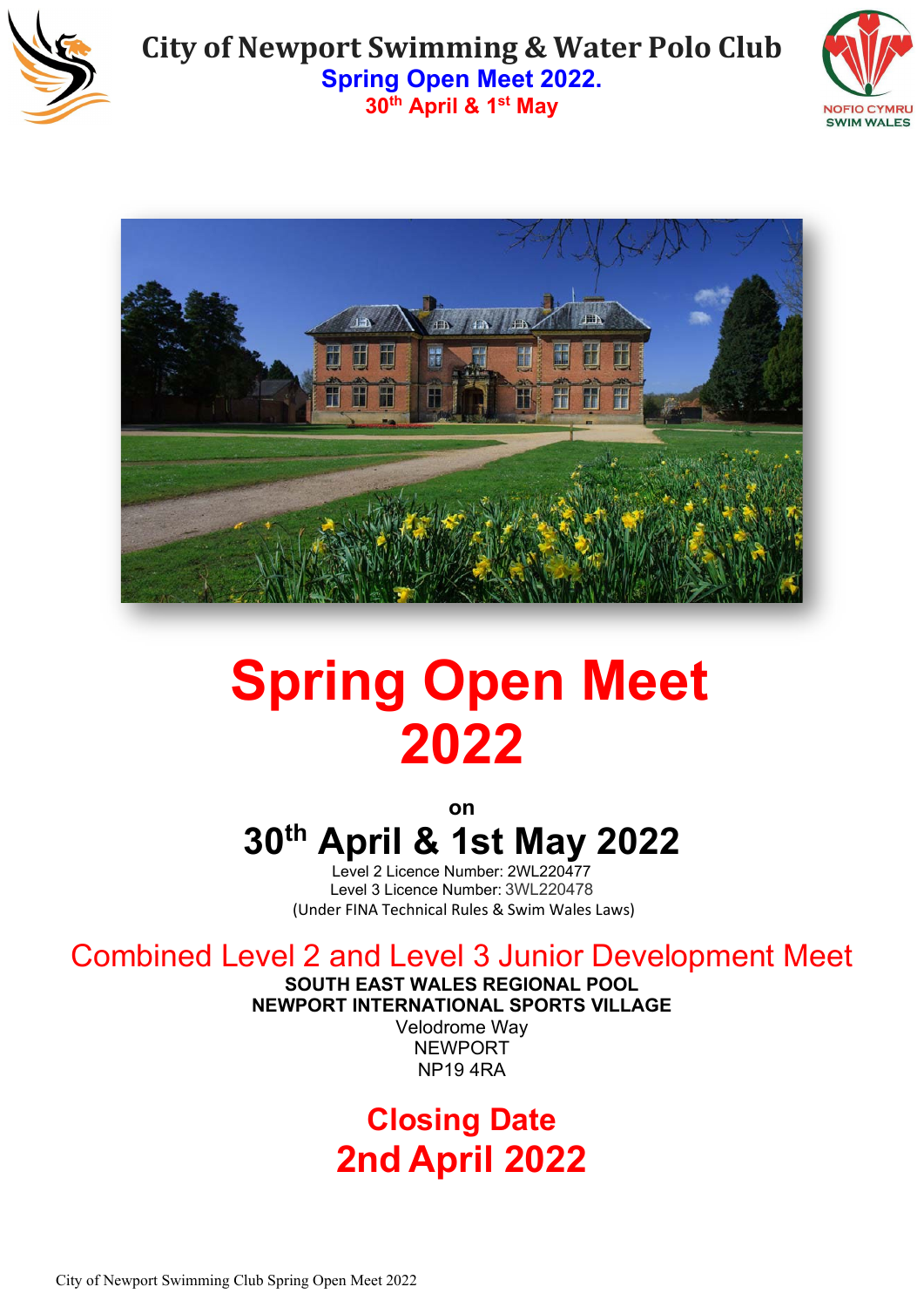





# **Spring Open Meet 2022**

**on**

# **30th April & 1st May 2022**

Level 2 Licence Number: 2WL220477 Level 3 Licence Number: 3WL220478 (Under FINA Technical Rules & Swim Wales Laws)

# Combined Level 2 and Level 3 Junior Development Meet

**SOUTH EAST WALES REGIONAL POOL**

**NEWPORT INTERNATIONAL SPORTS VILLAGE**

Velodrome Way NEWPORT NP19 4RA

# **Closing Date 2nd April 2022**

City of Newport Swimming Club Spring Open Meet 2022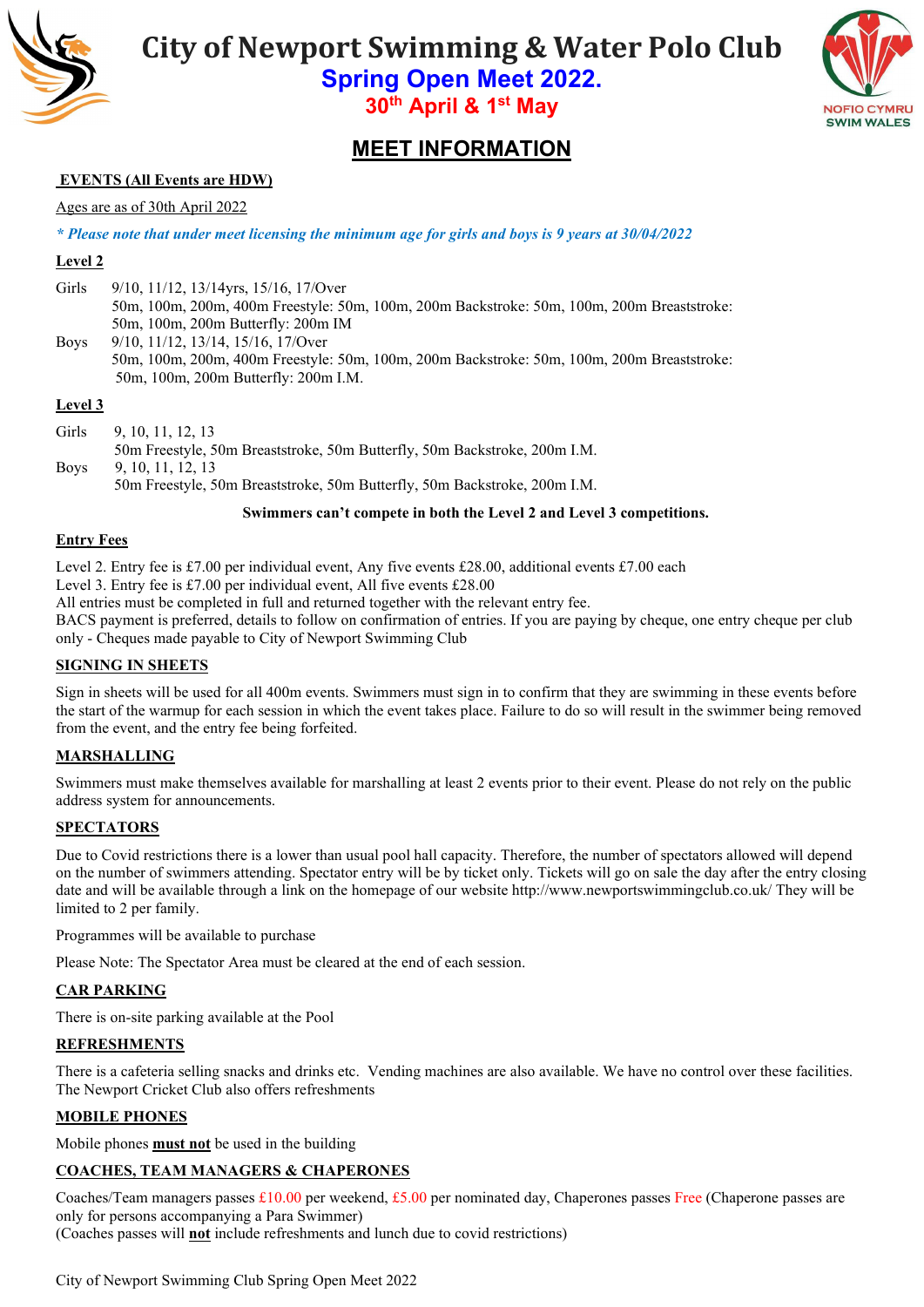

**City of Newport Swimming & Water Polo Club**

**Spring Open Meet 2022. 30th April & 1st May** 



### **MEET INFORMATION**

#### **EVENTS (All Events are HDW)**

#### Ages are as of 30th April 2022

*\* Please note that under meet licensing the minimum age for girls and boys is 9 years at 30/04/2022*

#### **Level 2**

Girls 9/10, 11/12, 13/14yrs, 15/16, 17/Over 50m, 100m, 200m, 400m Freestyle: 50m, 100m, 200m Backstroke: 50m, 100m, 200m Breaststroke: 50m, 100m, 200m Butterfly: 200m IM Boys 9/10, 11/12, 13/14, 15/16, 17/Over 50m, 100m, 200m, 400m Freestyle: 50m, 100m, 200m Backstroke: 50m, 100m, 200m Breaststroke: 50m, 100m, 200m Butterfly: 200m I.M.

#### **Level 3**

Girls 9, 10, 11, 12, 13 50m Freestyle, 50m Breaststroke, 50m Butterfly, 50m Backstroke, 200m I.M. Boys 9, 10, 11, 12, 13 50m Freestyle, 50m Breaststroke, 50m Butterfly, 50m Backstroke, 200m I.M.

**Swimmers can't compete in both the Level 2 and Level 3 competitions.**

#### **Entry Fees**

Level 2. Entry fee is £7.00 per individual event, Any five events £28.00, additional events £7.00 each

Level 3. Entry fee is £7.00 per individual event, All five events £28.00

All entries must be completed in full and returned together with the relevant entry fee.

BACS payment is preferred, details to follow on confirmation of entries. If you are paying by cheque, one entry cheque per club only - Cheques made payable to City of Newport Swimming Club

#### **SIGNING IN SHEETS**

Sign in sheets will be used for all 400m events. Swimmers must sign in to confirm that they are swimming in these events before the start of the warmup for each session in which the event takes place. Failure to do so will result in the swimmer being removed from the event, and the entry fee being forfeited.

#### **MARSHALLING**

Swimmers must make themselves available for marshalling at least 2 events prior to their event. Please do not rely on the public address system for announcements.

#### **SPECTATORS**

Due to Covid restrictions there is a lower than usual pool hall capacity. Therefore, the number of spectators allowed will depend on the number of swimmers attending. Spectator entry will be by ticket only. Tickets will go on sale the day after the entry closing date and will be available through a link on the homepage of our website http://www.newportswimmingclub.co.uk/ They will be limited to 2 per family.

Programmes will be available to purchase

Please Note: The Spectator Area must be cleared at the end of each session.

#### **CAR PARKING**

There is on-site parking available at the Pool

#### **REFRESHMENTS**

There is a cafeteria selling snacks and drinks etc. Vending machines are also available. We have no control over these facilities. The Newport Cricket Club also offers refreshments

#### **MOBILE PHONES**

Mobile phones **must not** be used in the building

#### **COACHES, TEAM MANAGERS & CHAPERONES**

Coaches/Team managers passes £10.00 per weekend, £5.00 per nominated day, Chaperones passes Free (Chaperone passes are only for persons accompanying a Para Swimmer)

(Coaches passes will **not** include refreshments and lunch due to covid restrictions)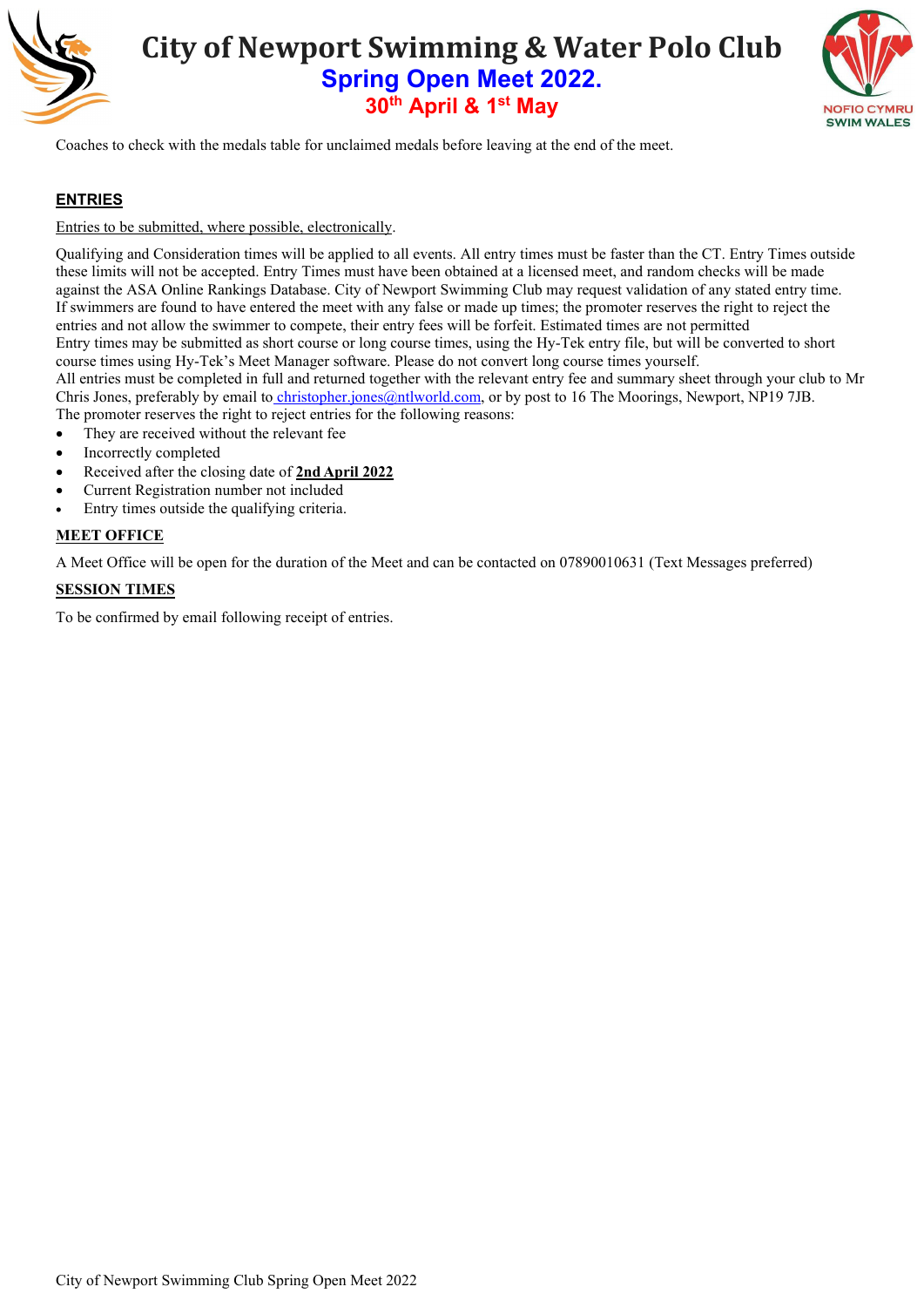



Coaches to check with the medals table for unclaimed medals before leaving at the end of the meet.

#### **ENTRIES**

#### Entries to be submitted, where possible, electronically.

Qualifying and Consideration times will be applied to all events. All entry times must be faster than the CT. Entry Times outside these limits will not be accepted. Entry Times must have been obtained at a licensed meet, and random checks will be made against the ASA Online Rankings Database. City of Newport Swimming Club may request validation of any stated entry time. If swimmers are found to have entered the meet with any false or made up times; the promoter reserves the right to reject the entries and not allow the swimmer to compete, their entry fees will be forfeit. Estimated times are not permitted Entry times may be submitted as short course or long course times, using the Hy-Tek entry file, but will be converted to short course times using Hy-Tek's Meet Manager software. Please do not convert long course times yourself. All entries must be completed in full and returned together with the relevant entry fee and summary sheet through your club to Mr Chris Jones, preferably by email to *christopher.jones@ntlworld.com*, or by post to 16 The Moorings, Newport, NP19 7JB. The promoter reserves the right to reject entries for the following reasons:

- They are received without the relevant fee
- Incorrectly completed
- Received after the closing date of **2nd April 2022**
- Current Registration number not included
- Entry times outside the qualifying criteria.

#### **MEET OFFICE**

A Meet Office will be open for the duration of the Meet and can be contacted on 07890010631 (Text Messages preferred)

#### **SESSION TIMES**

To be confirmed by email following receipt of entries.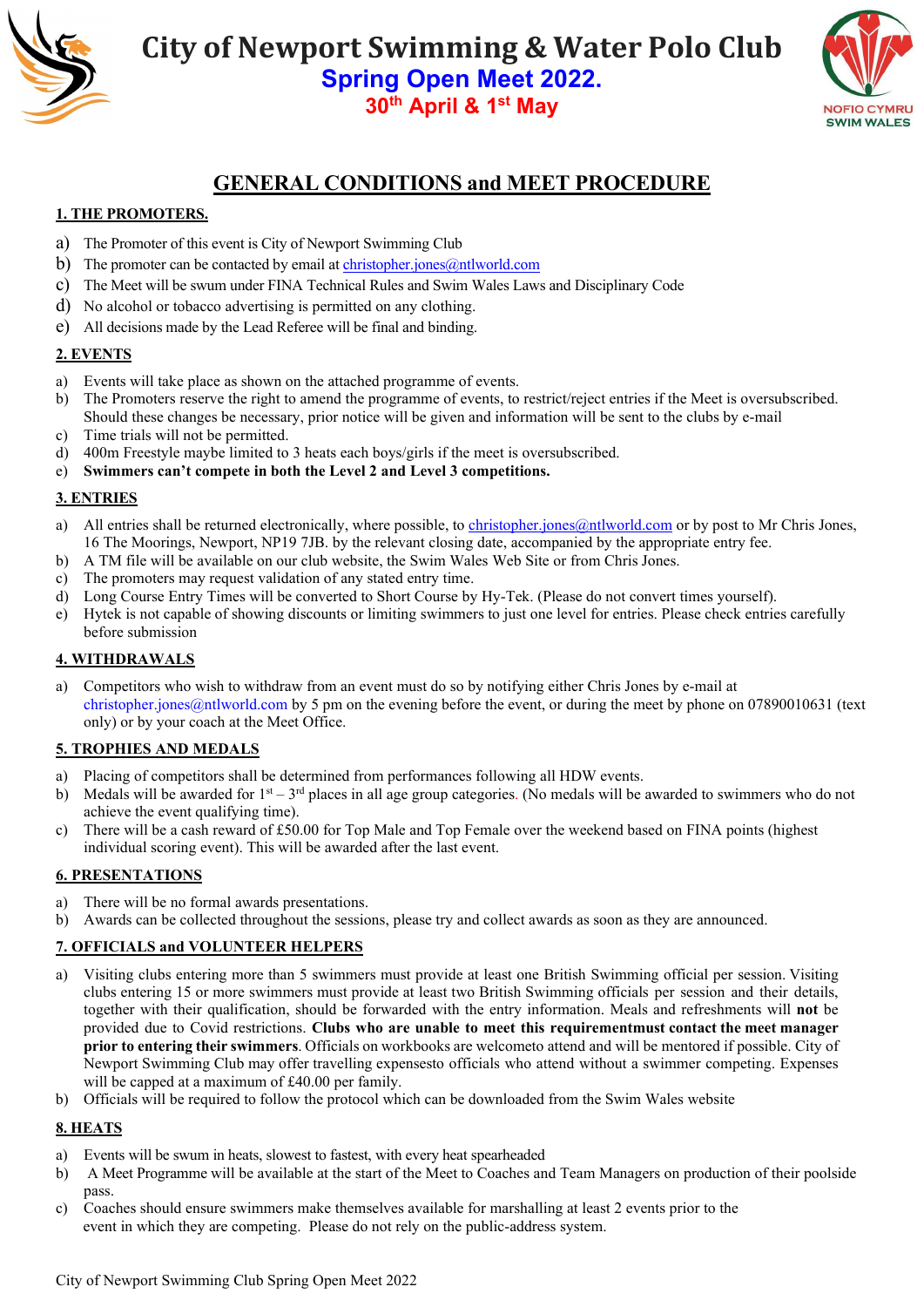



### **GENERAL CONDITIONS and MEET PROCEDURE**

#### **1. THE PROMOTERS.**

- a) The Promoter of this event is City of Newport Swimming Club
- b) The promoter can be contacted by email at [christopher.jones@ntlworld.com](mailto:christopher.jones@ntlworld.com)
- c) The Meet will be swum under FINA Technical Rules and Swim Wales Laws and Disciplinary Code
- d) No alcohol or tobacco advertising is permitted on any clothing.
- e) All decisions made by the Lead Referee will be final and binding.

#### **2. EVENTS**

- a) Events will take place as shown on the attached programme of events.
- b) The Promoters reserve the right to amend the programme of events, to restrict/reject entries if the Meet is oversubscribed. Should these changes be necessary, prior notice will be given and information will be sent to the clubs by e-mail
- c) Time trials will not be permitted.
- d) 400m Freestyle maybe limited to 3 heats each boys/girls if the meet is oversubscribed.
- e) **Swimmers can't compete in both the Level 2 and Level 3 competitions.**

#### **3. ENTRIES**

- a) All entries shall be returned electronically, where possible, to [christopher.jones@ntlworld.com](mailto:meets@newportswimmingclub.co.uk) or by post to Mr Chris Jones, 16 The Moorings, Newport, NP19 7JB. by the relevant closing date, accompanied by the appropriate entry fee.
- b) A TM file will be available on our club website, the Swim Wales Web Site or from Chris Jones.
- c) The promoters may request validation of any stated entry time.
- d) Long Course Entry Times will be converted to Short Course by Hy-Tek. (Please do not convert times yourself).
- e) Hytek is not capable of showing discounts or limiting swimmers to just one level for entries. Please check entries carefully before submission

#### **4. WITHDRAWALS**

a) Competitors who wish to withdraw from an event must do so by notifying either Chris Jones by e-mail at christopher.jones@ntlworld.com by 5 pm on the evening before the event, or during the meet by phone on 07890010631 (text only) or by your coach at the Meet Office.

#### **5. TROPHIES AND MEDALS**

- a) Placing of competitors shall be determined from performances following all HDW events.
- b) Medals will be awarded for  $1<sup>st</sup> 3<sup>rd</sup>$  places in all age group categories. (No medals will be awarded to swimmers who do not achieve the event qualifying time).
- c) There will be a cash reward of £50.00 for Top Male and Top Female over the weekend based on FINA points (highest individual scoring event). This will be awarded after the last event.

#### **6. PRESENTATIONS**

- a) There will be no formal awards presentations.
- b) Awards can be collected throughout the sessions, please try and collect awards as soon as they are announced.

#### **7. OFFICIALS and VOLUNTEER HELPERS**

- a) Visiting clubs entering more than 5 swimmers must provide at least one British Swimming official per session. Visiting clubs entering 15 or more swimmers must provide at least two British Swimming officials per session and their details, together with their qualification, should be forwarded with the entry information. Meals and refreshments will **not** be provided due to Covid restrictions. **Clubs who are unable to meet this requirementmust contact the meet manager prior to entering their swimmers**. Officials on workbooks are welcometo attend and will be mentored if possible. City of Newport Swimming Club may offer travelling expensesto officials who attend without a swimmer competing. Expenses will be capped at a maximum of £40.00 per family.
- b) Officials will be required to follow the protocol which can be downloaded from the Swim Wales website

#### **8. HEATS**

- a) Events will be swum in heats, slowest to fastest, with every heat spearheaded
- b) A Meet Programme will be available at the start of the Meet to Coaches and Team Managers on production of their poolside pass.
- c) Coaches should ensure swimmers make themselves available for marshalling at least 2 events prior to the event in which they are competing. Please do not rely on the public-address system.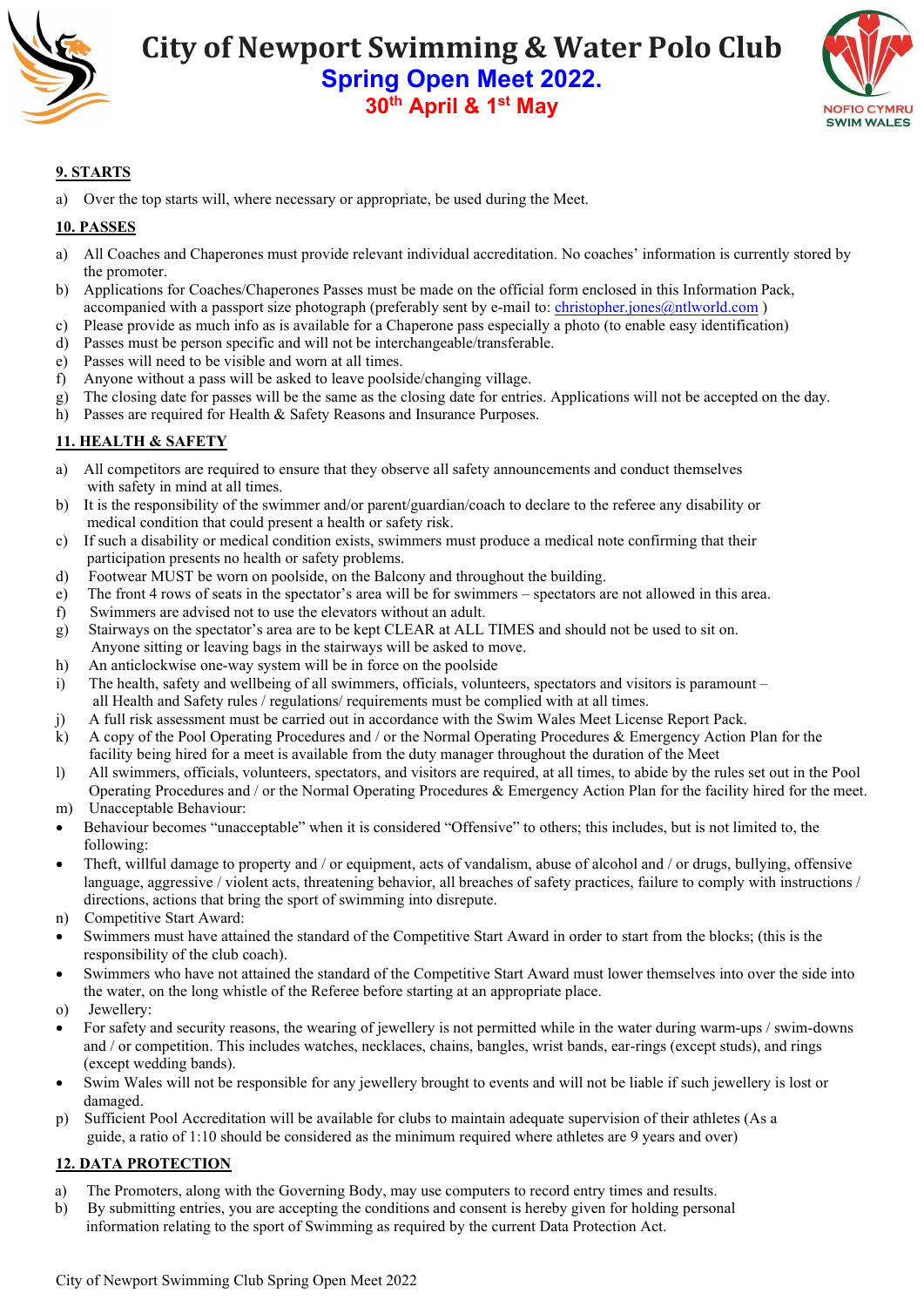



#### **9. STARTS**

a) Over the top starts will, where necessary or appropriate, be used during the Meet.

#### **10. PASSES**

- a) All Coaches and Chaperones must provide relevant individual accreditation. No coaches' information is currently stored by the promoter.
- b) Applications for Coaches/Chaperones Passes must be made on the official form enclosed in this Information Pack, accompanied with a passport size photograph (preferably sent by e-mail to[: christopher.jones@ntlworld.com](mailto:meets@newportswimmingclub.co.uk))
- c) Please provide as much info as is available for a Chaperone pass especially a photo (to enable easy identification)
- d) Passes must be person specific and will not be interchangeable/transferable.
- e) Passes will need to be visible and worn at all times.
- f) Anyone without a pass will be asked to leave poolside/changing village.
- g) The closing date for passes will be the same as the closing date for entries. Applications will not be accepted on the day.
- h) Passes are required for Health & Safety Reasons and Insurance Purposes.

#### **11. HEALTH & SAFETY**

- a) All competitors are required to ensure that they observe all safety announcements and conduct themselves with safety in mind at all times.
- b) It is the responsibility of the swimmer and/or parent/guardian/coach to declare to the referee any disability or medical condition that could present a health or safety risk.
- c) If such a disability or medical condition exists, swimmers must produce a medical note confirming that their participation presents no health or safety problems.
- d) Footwear MUST be worn on poolside, on the Balcony and throughout the building.
- e) The front 4 rows of seats in the spectator's area will be for swimmers spectators are not allowed in this area.
- f) Swimmers are advised not to use the elevators without an adult.
- g) Stairways on the spectator's area are to be kept CLEAR at ALL TIMES and should not be used to sit on. Anyone sitting or leaving bags in the stairways will be asked to move.
- h) An anticlockwise one-way system will be in force on the poolside
- i) The health, safety and wellbeing of all swimmers, officials, volunteers, spectators and visitors is paramount all Health and Safety rules / regulations/ requirements must be complied with at all times.
- j) A full risk assessment must be carried out in accordance with the Swim Wales Meet License Report Pack.
- k) A copy of the Pool Operating Procedures and / or the Normal Operating Procedures & Emergency Action Plan for the facility being hired for a meet is available from the duty manager throughout the duration of the Meet
- l) All swimmers, officials, volunteers, spectators, and visitors are required, at all times, to abide by the rules set out in the Pool Operating Procedures and / or the Normal Operating Procedures & Emergency Action Plan for the facility hired for the meet.
- m) Unacceptable Behaviour:
- Behaviour becomes "unacceptable" when it is considered "Offensive" to others; this includes, but is not limited to, the following:
- Theft, willful damage to property and / or equipment, acts of vandalism, abuse of alcohol and / or drugs, bullying, offensive language, aggressive / violent acts, threatening behavior, all breaches of safety practices, failure to comply with instructions / directions, actions that bring the sport of swimming into disrepute.
- n) Competitive Start Award:
- Swimmers must have attained the standard of the Competitive Start Award in order to start from the blocks; (this is the responsibility of the club coach).
- Swimmers who have not attained the standard of the Competitive Start Award must lower themselves into over the side into the water, on the long whistle of the Referee before starting at an appropriate place.
- o) Jewellery:
- For safety and security reasons, the wearing of jewellery is not permitted while in the water during warm-ups / swim-downs and / or competition. This includes watches, necklaces, chains, bangles, wrist bands, ear-rings (except studs), and rings (except wedding bands).
- Swim Wales will not be responsible for any jewellery brought to events and will not be liable if such jewellery is lost or damaged.
- p) Sufficient Pool Accreditation will be available for clubs to maintain adequate supervision of their athletes (As a guide, a ratio of 1:10 should be considered as the minimum required where athletes are 9 years and over)

#### **12. DATA PROTECTION**

- a) The Promoters, along with the Governing Body, may use computers to record entry times and results.
- b) By submitting entries, you are accepting the conditions and consent is hereby given for holding personal information relating to the sport of Swimming as required by the current Data Protection Act.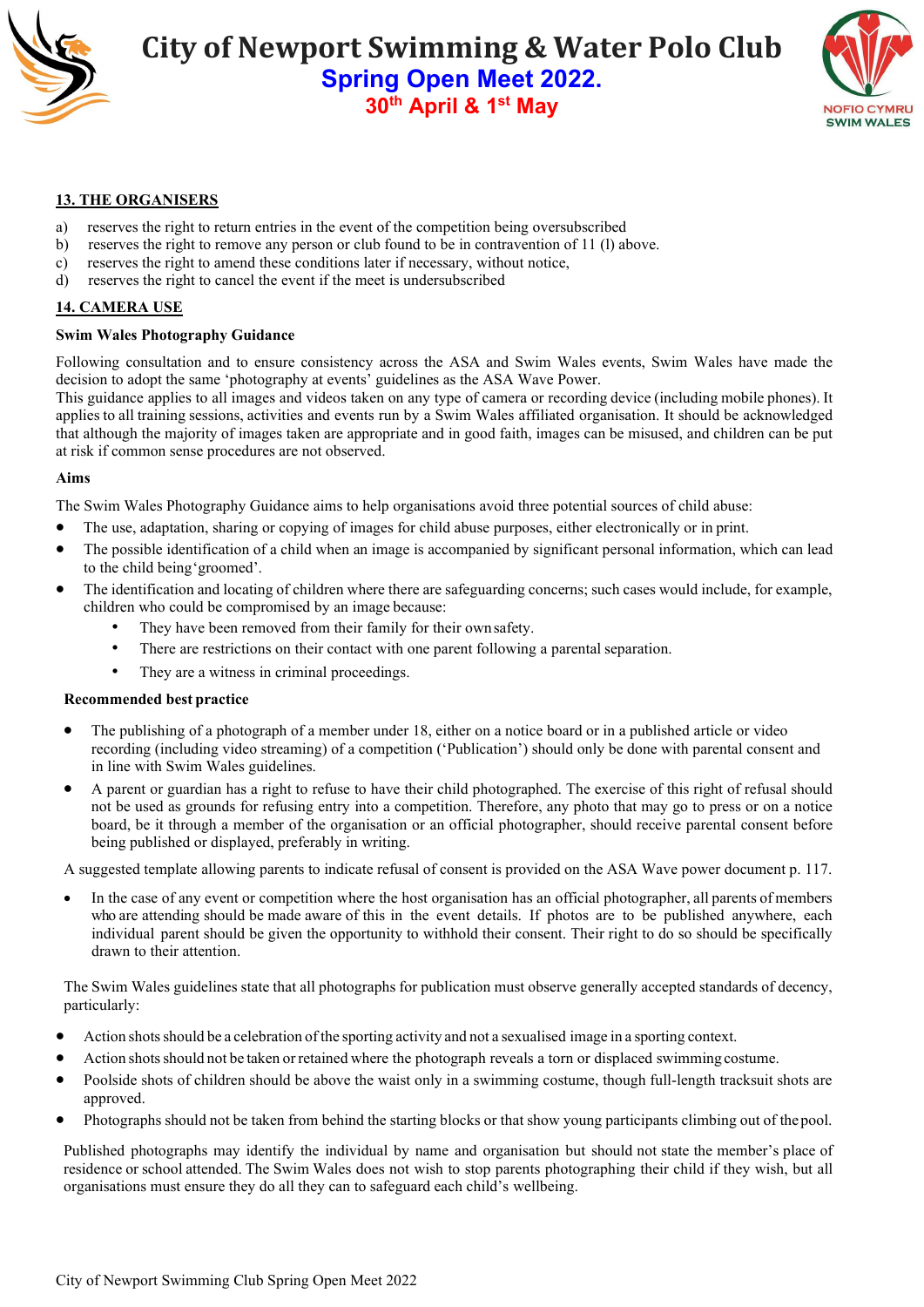



#### **13. THE ORGANISERS**

- a) reserves the right to return entries in the event of the competition being oversubscribed
- b) reserves the right to remove any person or club found to be in contravention of 11 (l) above.
- c) reserves the right to amend these conditions later if necessary, without notice, d) reserves the right to cancel the event if the meet is undersubscribed
- reserves the right to cancel the event if the meet is undersubscribed

#### **14. CAMERA USE**

#### **Swim Wales Photography Guidance**

Following consultation and to ensure consistency across the ASA and Swim Wales events, Swim Wales have made the decision to adopt the same 'photography at events' guidelines as the ASA Wave Power.

This guidance applies to all images and videos taken on any type of camera or recording device (including mobile phones). It applies to all training sessions, activities and events run by a Swim Wales affiliated organisation. It should be acknowledged that although the majority of images taken are appropriate and in good faith, images can be misused, and children can be put at risk if common sense procedures are not observed.

#### **Aims**

The Swim Wales Photography Guidance aims to help organisations avoid three potential sources of child abuse:

- The use, adaptation, sharing or copying of images for child abuse purposes, either electronically or in print.
- The possible identification of a child when an image is accompanied by significant personal information, which can lead to the child being'groomed'.
- The identification and locating of children where there are safeguarding concerns; such cases would include, for example, children who could be compromised by an image because:
	- They have been removed from their family for their own safety.
	- There are restrictions on their contact with one parent following a parental separation.
	- They are a witness in criminal proceedings.

#### **Recommended best practice**

- The publishing of a photograph of a member under 18, either on a notice board or in a published article or video recording (including video streaming) of a competition ('Publication') should only be done with parental consent and in line with Swim Wales guidelines.
- A parent or guardian has a right to refuse to have their child photographed. The exercise of this right of refusal should not be used as grounds for refusing entry into a competition. Therefore, any photo that may go to press or on a notice board, be it through a member of the organisation or an official photographer, should receive parental consent before being published or displayed, preferably in writing.

A suggested template allowing parents to indicate refusal of consent is provided on the ASA Wave power document p. 117.

• In the case of any event or competition where the host organisation has an official photographer, all parents of members who are attending should be made aware of this in the event details. If photos are to be published anywhere, each individual parent should be given the opportunity to withhold their consent. Their right to do so should be specifically drawn to their attention.

The Swim Wales guidelines state that all photographs for publication must observe generally accepted standards of decency, particularly:

- Action shotsshould be a celebration of the sporting activity and not a sexualised image in a sporting context.
- Action shotsshould not be taken orretained where the photograph reveals a torn or displaced swimming costume.
- Poolside shots of children should be above the waist only in a swimming costume, though full-length tracksuit shots are approved.
- Photographs should not be taken from behind the starting blocks or that show young participants climbing out of thepool.

Published photographs may identify the individual by name and organisation but should not state the member's place of residence or school attended. The Swim Wales does not wish to stop parents photographing their child if they wish, but all organisations must ensure they do all they can to safeguard each child's wellbeing.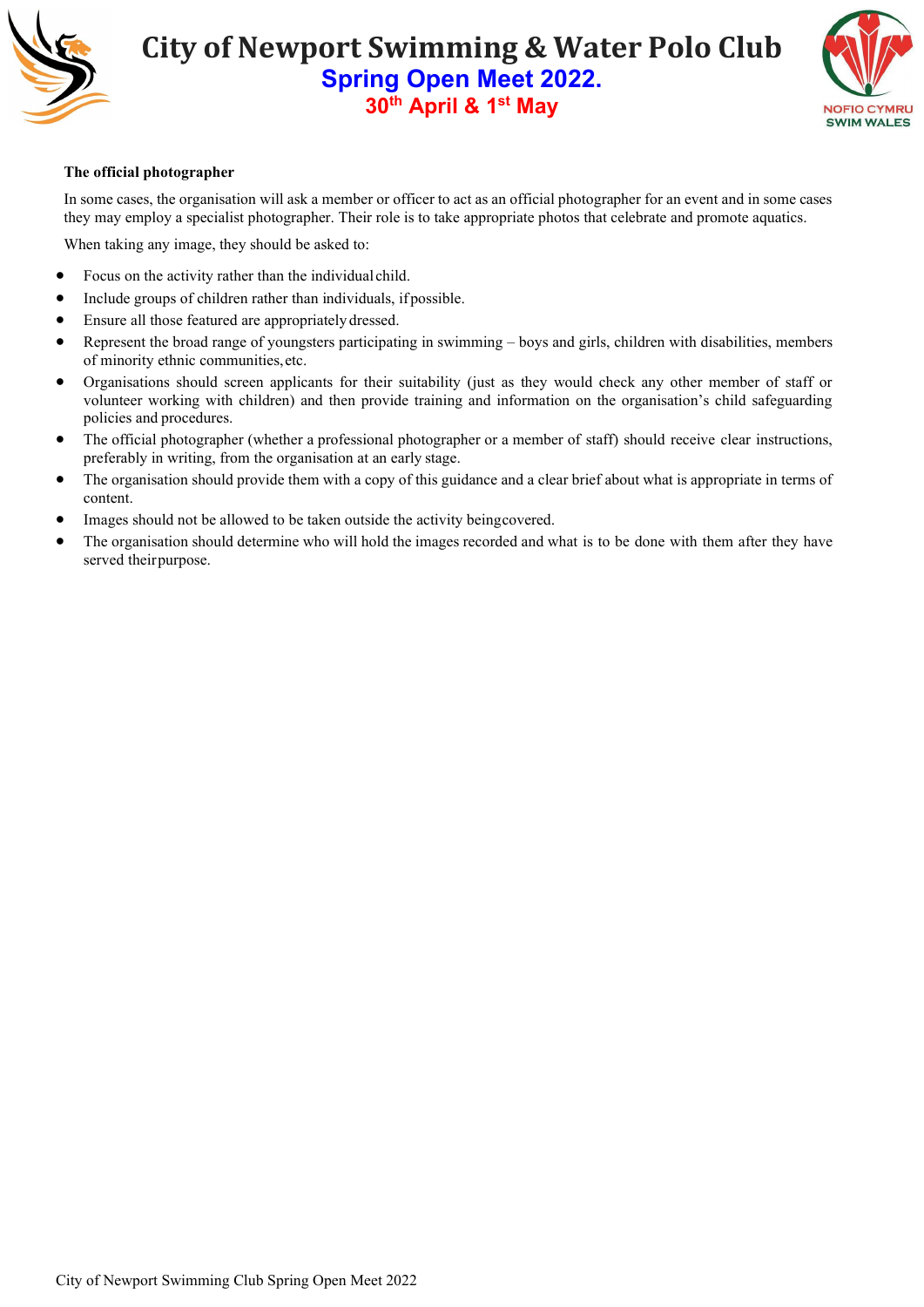



#### **The official photographer**

In some cases, the organisation will ask a member or officer to act as an official photographer for an event and in some cases they may employ a specialist photographer. Their role is to take appropriate photos that celebrate and promote aquatics.

When taking any image, they should be asked to:

- Focus on the activity rather than the individual child.
- Include groups of children rather than individuals, if possible.
- Ensure all those featured are appropriately dressed.
- Represent the broad range of youngsters participating in swimming boys and girls, children with disabilities, members of minority ethnic communities,etc.
- Organisations should screen applicants for their suitability (just as they would check any other member of staff or volunteer working with children) and then provide training and information on the organisation's child safeguarding policies and procedures.
- The official photographer (whether a professional photographer or a member of staff) should receive clear instructions, preferably in writing, from the organisation at an early stage.
- The organisation should provide them with a copy of this guidance and a clear brief about what is appropriate in terms of content.
- Images should not be allowed to be taken outside the activity beingcovered.
- The organisation should determine who will hold the images recorded and what is to be done with them after they have served theirpurpose.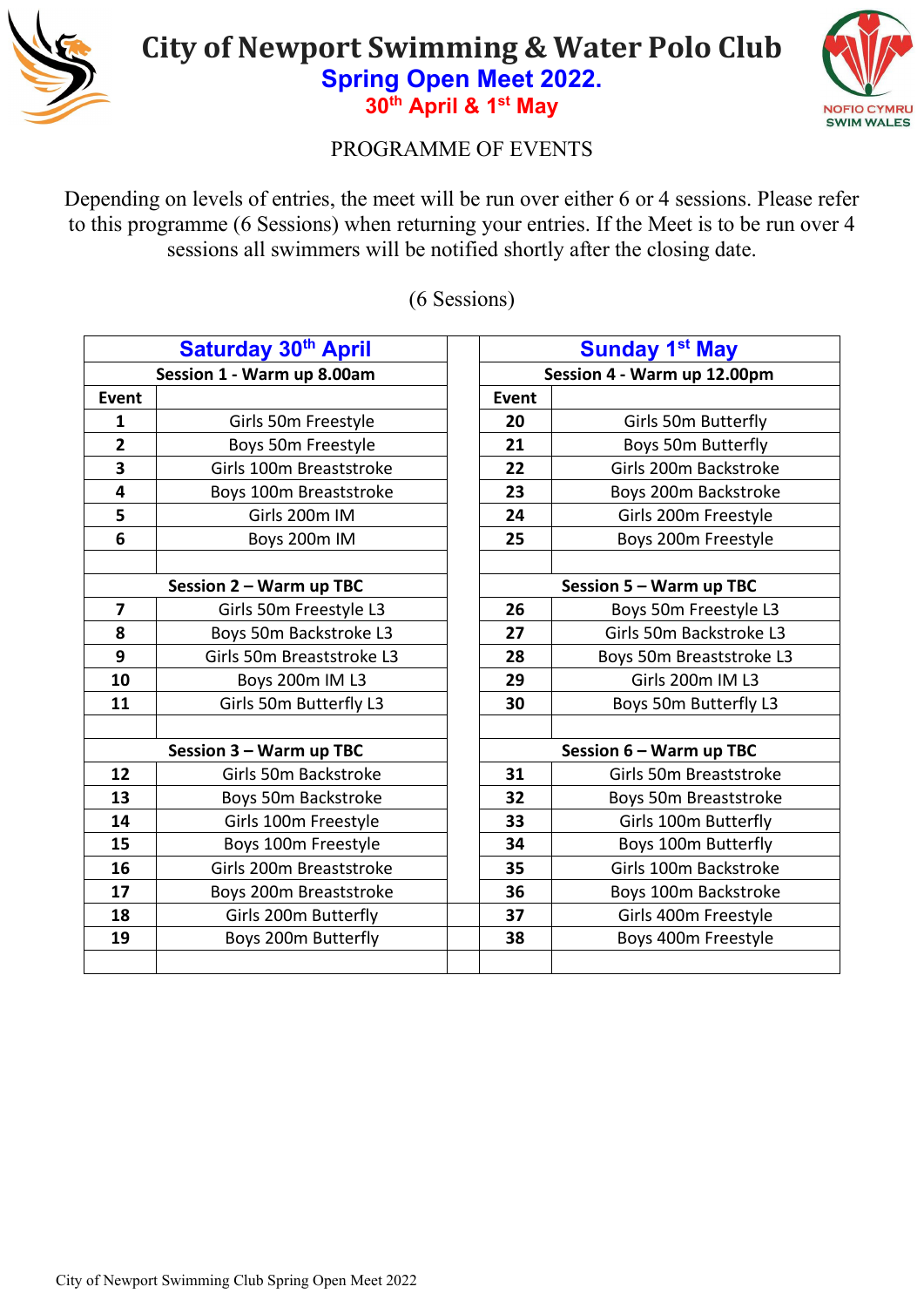



### PROGRAMME OF EVENTS

Depending on levels of entries, the meet will be run over either 6 or 4 sessions. Please refer to this programme (6 Sessions) when returning your entries. If the Meet is to be run over 4 sessions all swimmers will be notified shortly after the closing date.

(6 Sessions)

|                         | Saturday 30th April        | <b>Sunday 1st May</b>       |                             |  |
|-------------------------|----------------------------|-----------------------------|-----------------------------|--|
|                         | Session 1 - Warm up 8.00am |                             | Session 4 - Warm up 12.00pm |  |
| <b>Event</b>            |                            | <b>Event</b>                |                             |  |
| 1                       | Girls 50m Freestyle        | 20                          | Girls 50m Butterfly         |  |
| $\overline{2}$          | Boys 50m Freestyle         | 21                          | Boys 50m Butterfly          |  |
| 3                       | Girls 100m Breaststroke    | 22                          | Girls 200m Backstroke       |  |
| $\overline{\mathbf{4}}$ | Boys 100m Breaststroke     | 23                          | Boys 200m Backstroke        |  |
| 5                       | Girls 200m IM              | 24                          | Girls 200m Freestyle        |  |
| $6\phantom{1}6$         | Boys 200m IM               | 25                          | Boys 200m Freestyle         |  |
|                         |                            |                             |                             |  |
|                         | Session 2 - Warm up TBC    |                             | Session 5 - Warm up TBC     |  |
| $\overline{\mathbf{z}}$ | Girls 50m Freestyle L3     | 26                          | Boys 50m Freestyle L3       |  |
| 8                       | Boys 50m Backstroke L3     | 27                          | Girls 50m Backstroke L3     |  |
| 9                       | Girls 50m Breaststroke L3  | 28                          | Boys 50m Breaststroke L3    |  |
| 10                      | Boys 200m IM L3            | 29                          | Girls 200m IM L3            |  |
| 11                      | Girls 50m Butterfly L3     | 30<br>Boys 50m Butterfly L3 |                             |  |
|                         |                            |                             |                             |  |
|                         | Session 3 - Warm up TBC    |                             | Session 6 - Warm up TBC     |  |
| 12                      | Girls 50m Backstroke       | 31                          | Girls 50m Breaststroke      |  |
| 13                      | Boys 50m Backstroke        | 32                          | Boys 50m Breaststroke       |  |
| 14                      | Girls 100m Freestyle       | 33                          | Girls 100m Butterfly        |  |
| 15                      | Boys 100m Freestyle        | 34                          | Boys 100m Butterfly         |  |
| 16                      | Girls 200m Breaststroke    | 35                          | Girls 100m Backstroke       |  |
| 17                      | Boys 200m Breaststroke     | 36                          | Boys 100m Backstroke        |  |
| 18                      | Girls 200m Butterfly       | 37                          | Girls 400m Freestyle        |  |
| 19                      | Boys 200m Butterfly        | 38                          | Boys 400m Freestyle         |  |
|                         |                            |                             |                             |  |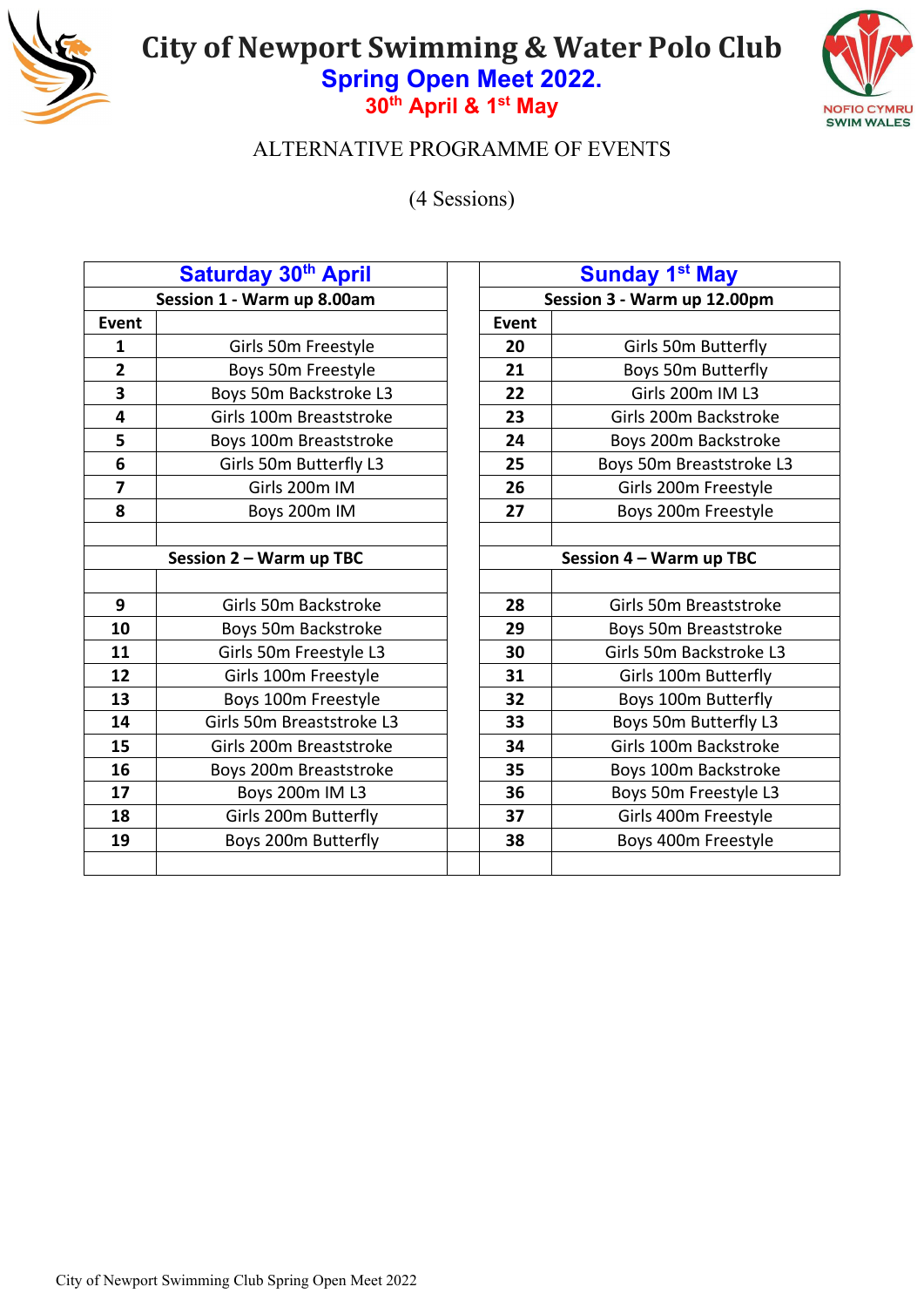



### ALTERNATIVE PROGRAMME OF EVENTS

(4 Sessions)

|                         | Saturday 30 <sup>th</sup> April |              | <b>Sunday 1st May</b>       |
|-------------------------|---------------------------------|--------------|-----------------------------|
|                         | Session 1 - Warm up 8.00am      |              | Session 3 - Warm up 12.00pm |
| <b>Event</b>            |                                 | <b>Event</b> |                             |
| $\mathbf{1}$            | Girls 50m Freestyle             | 20           | Girls 50m Butterfly         |
| $\overline{2}$          | Boys 50m Freestyle              | 21           | Boys 50m Butterfly          |
| 3                       | Boys 50m Backstroke L3          | 22           | Girls 200m IM L3            |
| $\overline{\mathbf{4}}$ | Girls 100m Breaststroke         | 23           | Girls 200m Backstroke       |
| 5                       | Boys 100m Breaststroke          | 24           | Boys 200m Backstroke        |
| $6\phantom{1}6$         | Girls 50m Butterfly L3          | 25           | Boys 50m Breaststroke L3    |
| $\overline{7}$          | Girls 200m IM                   | 26           | Girls 200m Freestyle        |
| 8                       | Boys 200m IM                    | 27           | Boys 200m Freestyle         |
|                         |                                 |              |                             |
|                         | Session 2 - Warm up TBC         |              | Session 4 - Warm up TBC     |
|                         |                                 |              |                             |
| 9                       | Girls 50m Backstroke            | 28           | Girls 50m Breaststroke      |
| 10                      | Boys 50m Backstroke             | 29           | Boys 50m Breaststroke       |
| 11                      | Girls 50m Freestyle L3          | 30           | Girls 50m Backstroke L3     |
| 12                      | Girls 100m Freestyle            | 31           | Girls 100m Butterfly        |
| 13                      | Boys 100m Freestyle             | 32           | Boys 100m Butterfly         |
| 14                      | Girls 50m Breaststroke L3       | 33           | Boys 50m Butterfly L3       |
| 15                      | Girls 200m Breaststroke         | 34           | Girls 100m Backstroke       |
| 16                      | Boys 200m Breaststroke          | 35           | Boys 100m Backstroke        |
| 17                      | Boys 200m IM L3                 | 36           | Boys 50m Freestyle L3       |
| 18                      | Girls 200m Butterfly            | 37           | Girls 400m Freestyle        |
| 19                      | Boys 200m Butterfly             | 38           | Boys 400m Freestyle         |
|                         |                                 |              |                             |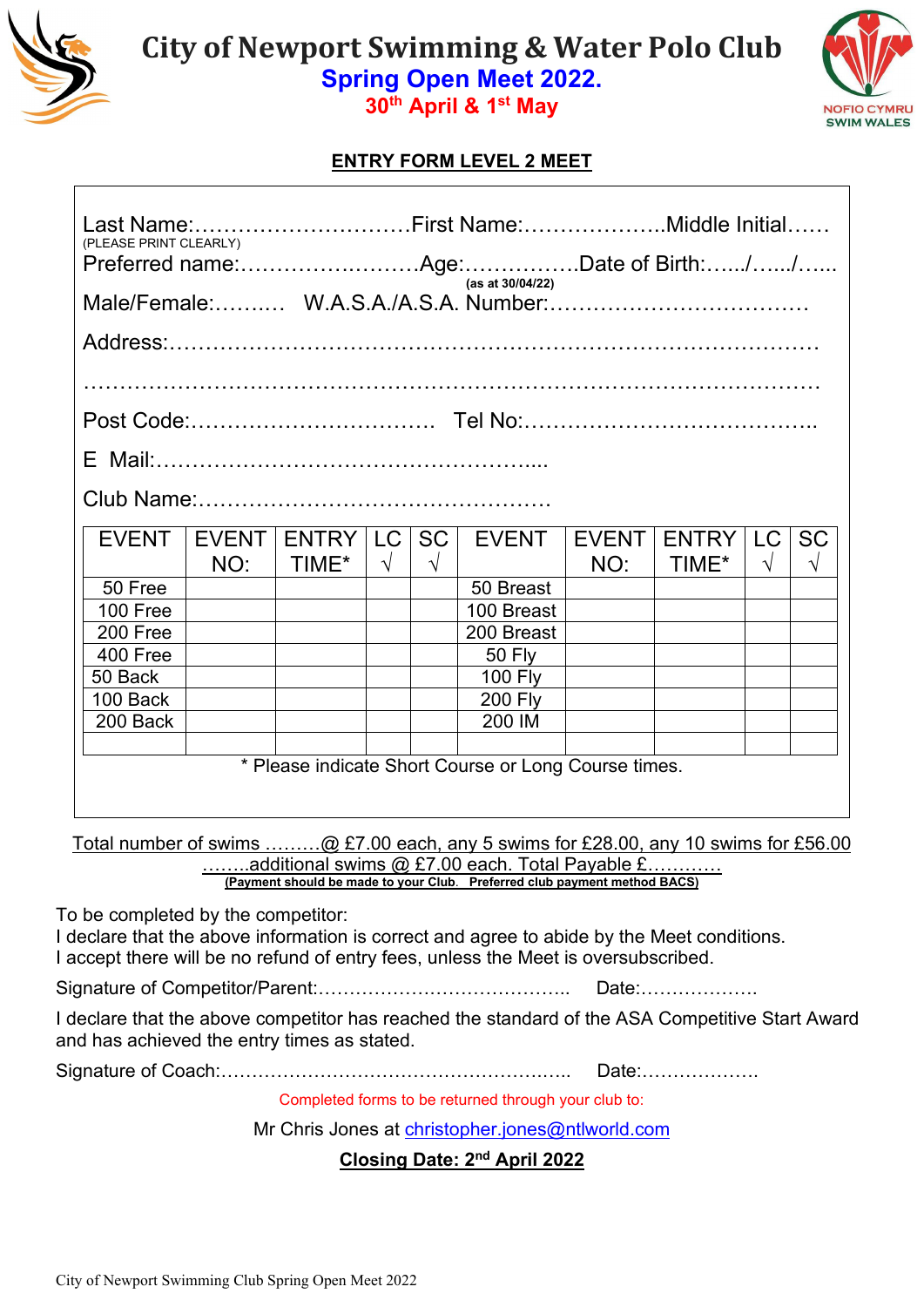

**30th April & 1st May** 



### **ENTRY FORM LEVEL 2 MEET**

| Last Name:First Name:Middle Initial                      |              |                 |            |            |                |              |              |            |            |
|----------------------------------------------------------|--------------|-----------------|------------|------------|----------------|--------------|--------------|------------|------------|
| (PLEASE PRINT CLEARLY)                                   |              |                 |            |            |                |              |              |            |            |
| (as at 30/04/22)<br>Male/Female: W.A.S.A./A.S.A. Number: |              |                 |            |            |                |              |              |            |            |
|                                                          |              |                 |            |            |                |              |              |            |            |
|                                                          |              |                 |            |            |                |              |              |            |            |
|                                                          |              |                 |            |            |                |              |              |            |            |
|                                                          |              |                 |            |            |                |              |              |            |            |
|                                                          |              |                 |            |            |                |              |              |            |            |
|                                                          |              |                 |            |            |                |              |              |            |            |
|                                                          |              |                 |            |            |                |              |              |            |            |
|                                                          |              |                 |            |            |                |              |              |            |            |
| <b>EVENT</b>                                             | <b>EVENT</b> | ENTRY   LC   SC |            |            | <b>EVENT</b>   | <b>EVENT</b> | <b>ENTRY</b> | LC.        | <b>SC</b>  |
|                                                          | NO:          | TIME*           | $\sqrt{ }$ | $\sqrt{ }$ |                | NO:          | TIME*        | $\sqrt{ }$ | $\sqrt{ }$ |
| 50 Free                                                  |              |                 |            |            | 50 Breast      |              |              |            |            |
| 100 Free                                                 |              |                 |            |            | 100 Breast     |              |              |            |            |
| 200 Free                                                 |              |                 |            |            | 200 Breast     |              |              |            |            |
| 400 Free                                                 |              |                 |            |            | <b>50 Fly</b>  |              |              |            |            |
| 50 Back                                                  |              |                 |            |            | <b>100 Fly</b> |              |              |            |            |
| 100 Back                                                 |              |                 |            |            | <b>200 Fly</b> |              |              |            |            |

\* Please indicate Short Course or Long Course times.

Total number of swims ………@ £7.00 each, any 5 swims for £28.00, any 10 swims for £56.00 .additional swims  $@$  £7.00 each. Total Payable £. **(Payment should be made to your Club**. **Preferred club payment method BACS)**

To be completed by the competitor:

I declare that the above information is correct and agree to abide by the Meet conditions. I accept there will be no refund of entry fees, unless the Meet is oversubscribed.

Signature of Competitor/Parent:………………………………….. Date:……………….

200 Back 200 IM

I declare that the above competitor has reached the standard of the ASA Competitive Start Award and has achieved the entry times as stated.

Signature of Coach:…………………………………………….….. Date:……………….

Completed forms to be returned through your club to:

Mr Chris Jones at [christopher.jones@ntlworld.com](mailto:meets@newportswimmingclub.co.uk)

**Closing Date: 2nd April 2022**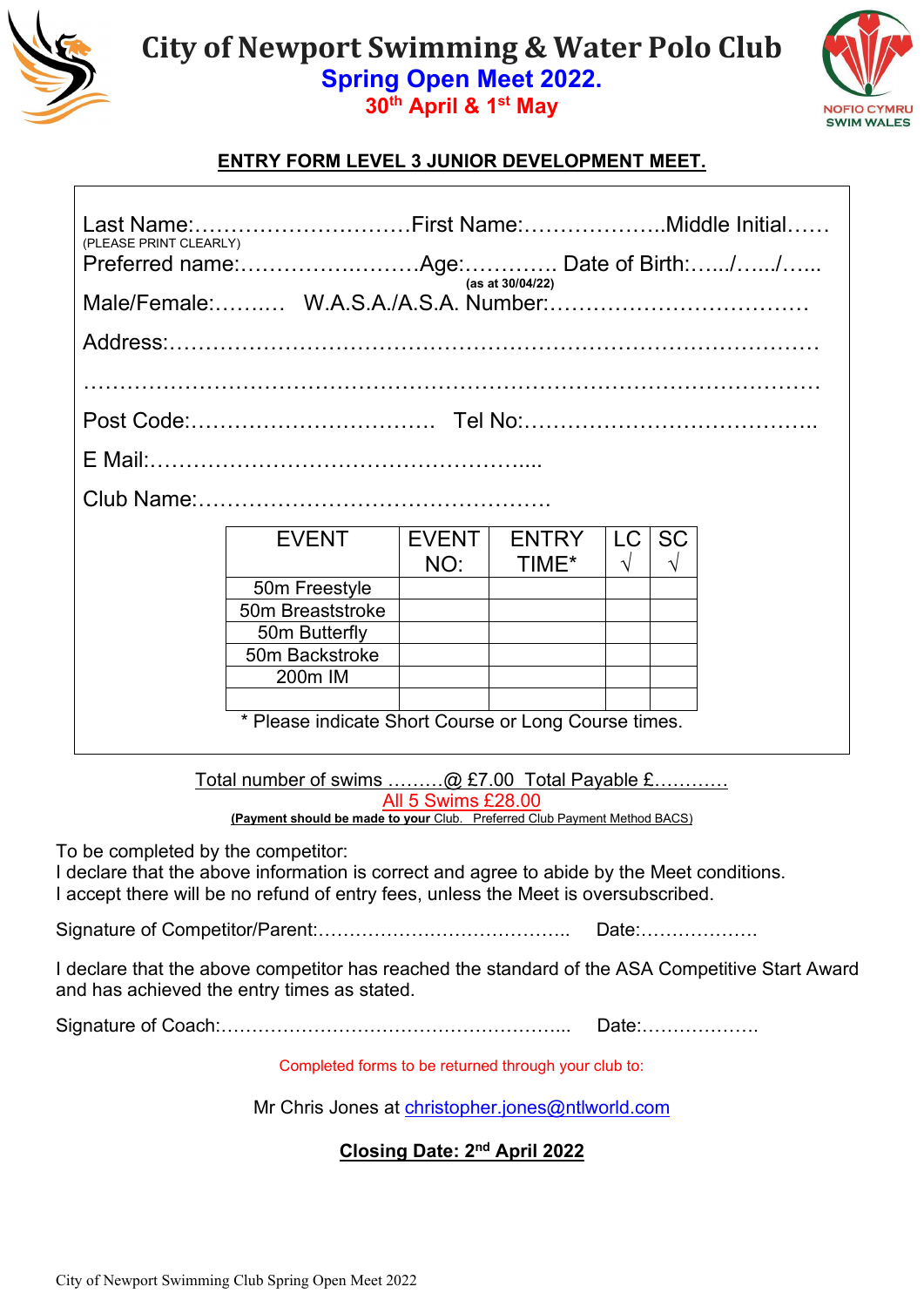

# **30th April & 1st May**



### **ENTRY FORM LEVEL 3 JUNIOR DEVELOPMENT MEET.**

| (PLEASE PRINT CLEARLY)                                   |                                                      | Last Name:First Name:Middle Initial |              |            |            |  |  |  |
|----------------------------------------------------------|------------------------------------------------------|-------------------------------------|--------------|------------|------------|--|--|--|
|                                                          |                                                      |                                     |              |            |            |  |  |  |
| (as at 30/04/22)<br>Male/Female: W.A.S.A./A.S.A. Number: |                                                      |                                     |              |            |            |  |  |  |
|                                                          |                                                      |                                     |              |            |            |  |  |  |
|                                                          |                                                      |                                     |              |            |            |  |  |  |
|                                                          |                                                      |                                     |              |            |            |  |  |  |
|                                                          |                                                      |                                     |              |            |            |  |  |  |
|                                                          |                                                      |                                     |              |            |            |  |  |  |
|                                                          |                                                      |                                     |              |            |            |  |  |  |
|                                                          | <b>EVENT</b>                                         | <b>EVENT</b>                        | <b>ENTRY</b> | LC         | <b>SC</b>  |  |  |  |
|                                                          |                                                      | NO:                                 | TIME*        | $\sqrt{ }$ | $\sqrt{ }$ |  |  |  |
|                                                          | 50m Freestyle                                        |                                     |              |            |            |  |  |  |
|                                                          | 50m Breaststroke                                     |                                     |              |            |            |  |  |  |
|                                                          | 50m Butterfly                                        |                                     |              |            |            |  |  |  |
|                                                          | 50m Backstroke                                       |                                     |              |            |            |  |  |  |
|                                                          | 200m IM                                              |                                     |              |            |            |  |  |  |
|                                                          |                                                      |                                     |              |            |            |  |  |  |
|                                                          | * Please indicate Short Course or Long Course times. |                                     |              |            |            |  |  |  |
|                                                          |                                                      |                                     |              |            |            |  |  |  |

Total number of swims ………@ £7.00 Total Payable £………… All 5 Swims £28.00 **(Payment should be made to your** Club. Preferred Club Payment Method BACS)

To be completed by the competitor:

I declare that the above information is correct and agree to abide by the Meet conditions. I accept there will be no refund of entry fees, unless the Meet is oversubscribed.

Signature of Competitor/Parent:………………………………….. Date:……………….

I declare that the above competitor has reached the standard of the ASA Competitive Start Award and has achieved the entry times as stated.

Signature of Coach:………………………………………………... Date:……………….

Completed forms to be returned through your club to:

Mr Chris Jones at [christopher.jones@ntlworld.com](mailto:meets@newportswimmingclub.co.uk)

### **Closing Date: 2nd April 2022**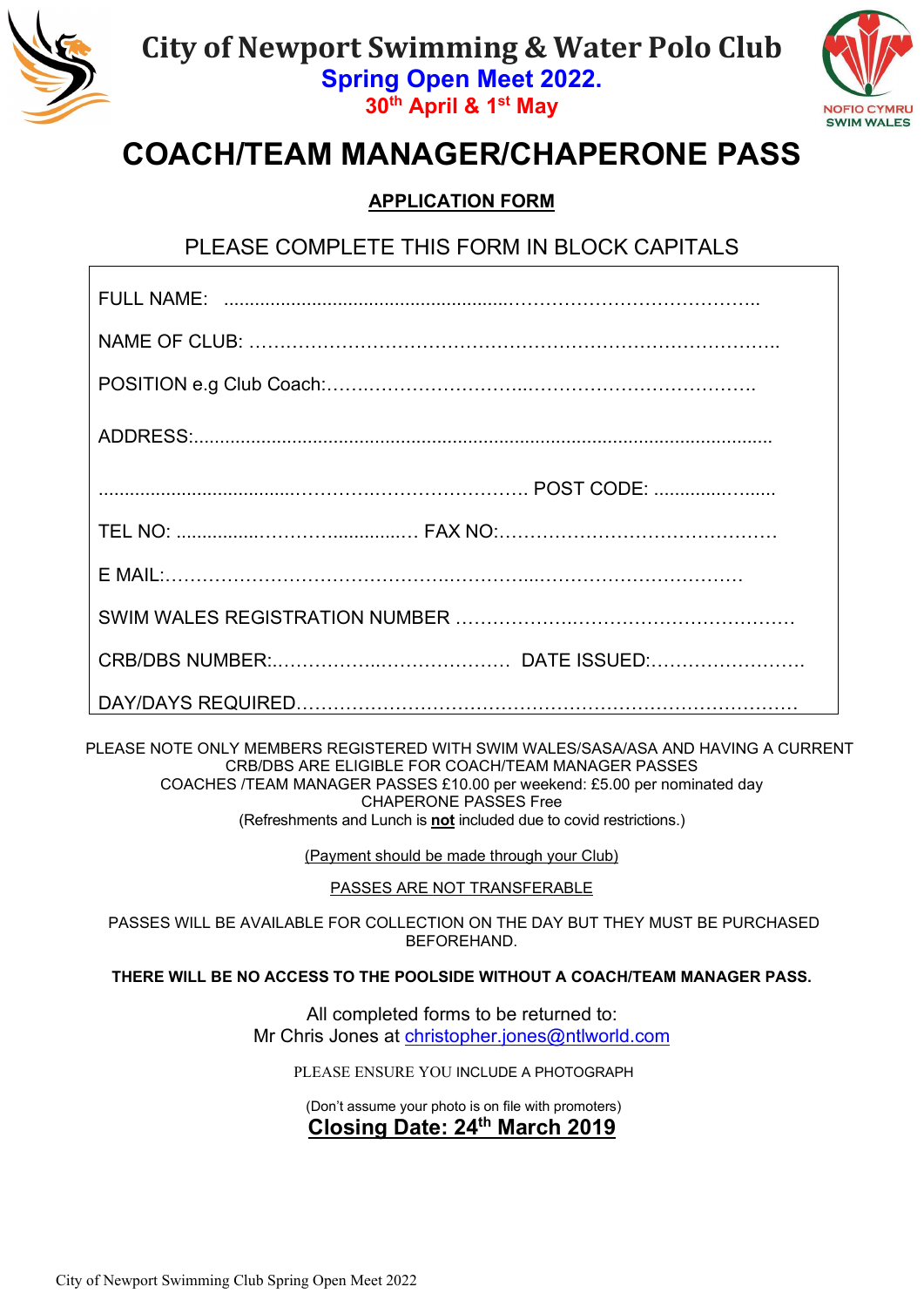

**30th April & 1st May** 



# **COACH/TEAM MANAGER/CHAPERONE PASS**

### **APPLICATION FORM**

PLEASE COMPLETE THIS FORM IN BLOCK CAPITALS

 PLEASE NOTE ONLY MEMBERS REGISTERED WITH SWIM WALES/SASA/ASA AND HAVING A CURRENT CRB/DBS ARE ELIGIBLE FOR COACH/TEAM MANAGER PASSES COACHES /TEAM MANAGER PASSES £10.00 per weekend: £5.00 per nominated day CHAPERONE PASSES Free (Refreshments and Lunch is **not** included due to covid restrictions.)

(Payment should be made through your Club)

PASSES ARE NOT TRANSFERABLE

PASSES WILL BE AVAILABLE FOR COLLECTION ON THE DAY BUT THEY MUST BE PURCHASED BEFOREHAND.

**THERE WILL BE NO ACCESS TO THE POOLSIDE WITHOUT A COACH/TEAM MANAGER PASS.**

All completed forms to be returned to: Mr Chris Jones at [christopher.jones@ntlworld.com](mailto:meets@newportswimmingclub.co.uk)

PLEASE ENSURE YOU INCLUDE A PHOTOGRAPH

(Don't assume your photo is on file with promoters)

### **Closing Date: 24th March 2019**

City of Newport Swimming Club Spring Open Meet 2022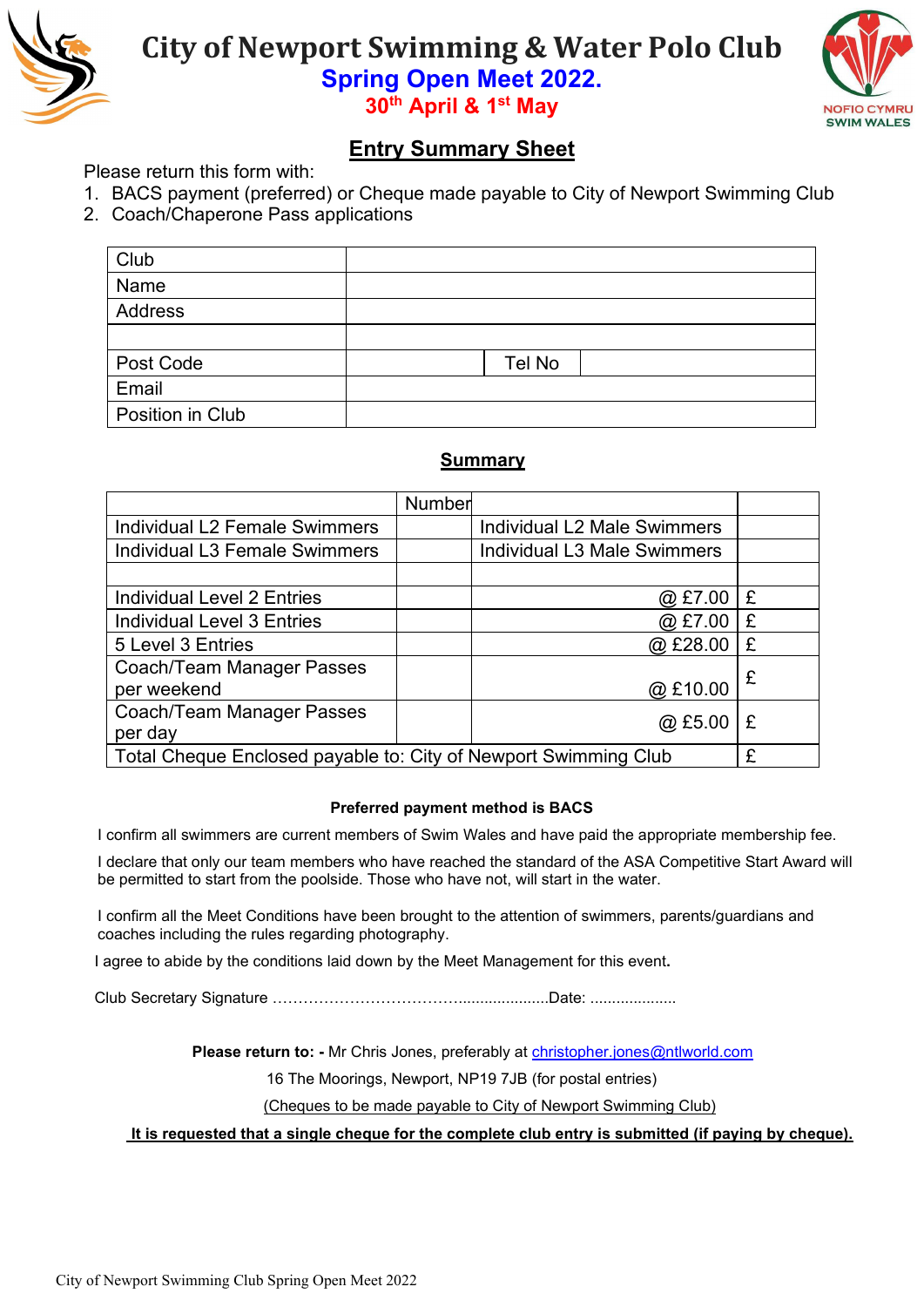



**30th April & 1st May** 

### **Entry Summary Sheet**

Please return this form with:

- 1. BACS payment (preferred) or Cheque made payable to City of Newport Swimming Club
- 2. Coach/Chaperone Pass applications

| Club             |        |  |
|------------------|--------|--|
| Name             |        |  |
| Address          |        |  |
|                  |        |  |
| Post Code        | Tel No |  |
| Email            |        |  |
| Position in Club |        |  |

### **Summary**

|                                                                 | Number |                                    |   |
|-----------------------------------------------------------------|--------|------------------------------------|---|
| <b>Individual L2 Female Swimmers</b>                            |        | Individual L2 Male Swimmers        |   |
| <b>Individual L3 Female Swimmers</b>                            |        | <b>Individual L3 Male Swimmers</b> |   |
|                                                                 |        |                                    |   |
| <b>Individual Level 2 Entries</b>                               |        | @ £7.00                            | £ |
| <b>Individual Level 3 Entries</b>                               |        | $@$ £7.00                          | £ |
| 5 Level 3 Entries                                               |        | @E28.00                            | £ |
| Coach/Team Manager Passes                                       |        |                                    | £ |
| per weekend                                                     |        | @£10.00                            |   |
| Coach/Team Manager Passes                                       |        | @E5.00                             | £ |
| per day                                                         |        |                                    |   |
| Total Cheque Enclosed payable to: City of Newport Swimming Club |        |                                    | £ |

#### **Preferred payment method is BACS**

I confirm all swimmers are current members of Swim Wales and have paid the appropriate membership fee.

I declare that only our team members who have reached the standard of the ASA Competitive Start Award will be permitted to start from the poolside. Those who have not, will start in the water.

I confirm all the Meet Conditions have been brought to the attention of swimmers, parents/guardians and coaches including the rules regarding photography.

I agree to abide by the conditions laid down by the Meet Management for this event**.**

Club Secretary Signature ……………………………….....................Date: ....................

 **Please return to: -** Mr Chris Jones, preferably at [christopher.jones@ntlworld.com](mailto:meets@newportswimmingclub.co.uk)

16 The Moorings, Newport, NP19 7JB (for postal entries)

(Cheques to be made payable to City of Newport Swimming Club)

**It is requested that a single cheque for the complete club entry is submitted (if paying by cheque).**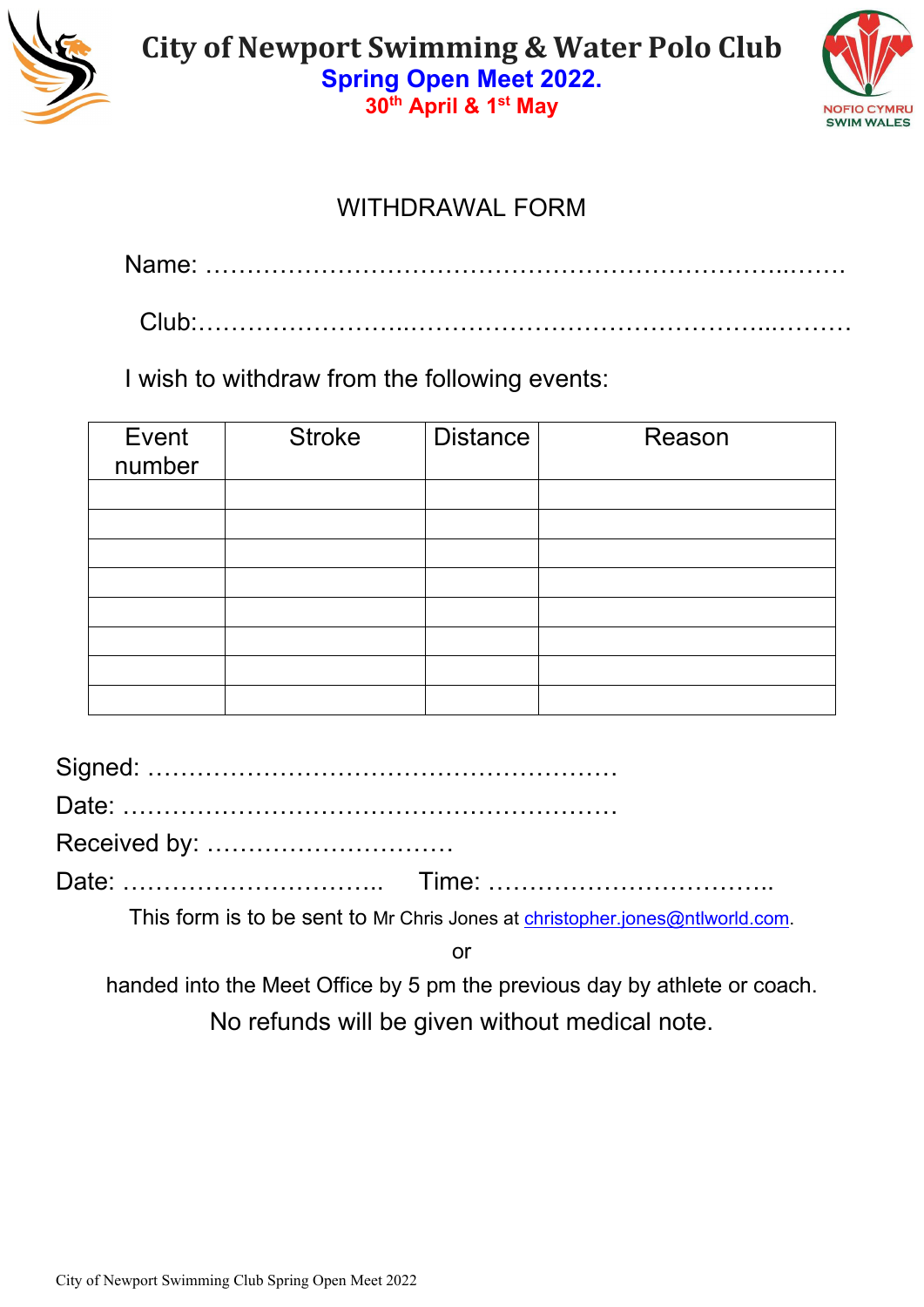



# WITHDRAWAL FORM

Name: ……………………………………………………………..…….

Club:……………………..……………………………………...………

I wish to withdraw from the following events:

| Event<br>number | <b>Stroke</b> | <b>Distance</b> | Reason |
|-----------------|---------------|-----------------|--------|
|                 |               |                 |        |
|                 |               |                 |        |
|                 |               |                 |        |
|                 |               |                 |        |
|                 |               |                 |        |
|                 |               |                 |        |
|                 |               |                 |        |
|                 |               |                 |        |

Signed: ………………………………………………… Date: ……………………………………………………

Received by: …………………………

Date: ………………………….. Time: ……………………………..

This form is to be sent to Mr Chris Jones at [christopher.jones@ntlworld.com.](mailto:meets@newportswimmingclub.co.uk)

or

handed into the Meet Office by 5 pm the previous day by athlete or coach.

No refunds will be given without medical note.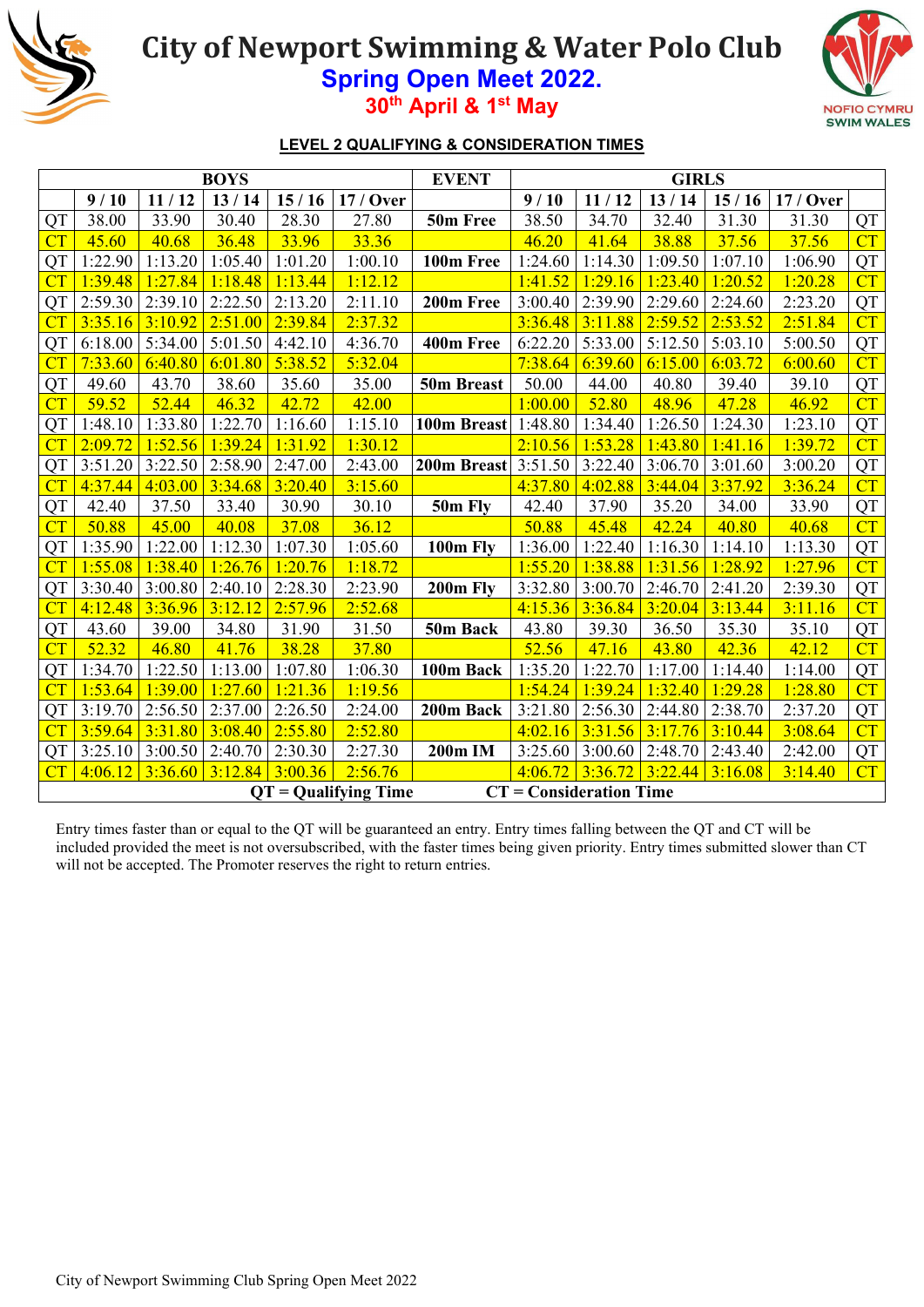

# **City of Newport Swimming & Water Polo Club**

**Spring Open Meet 2022. 30th April & 1st May** 



#### **LEVEL 2 QUALIFYING & CONSIDERATION TIMES**

|           |         |         | <b>BOYS</b> |         |                        | <b>EVENT</b>               |         |                           | <b>GIRLS</b> |         |           |           |
|-----------|---------|---------|-------------|---------|------------------------|----------------------------|---------|---------------------------|--------------|---------|-----------|-----------|
|           | 9/10    | 11/12   | 13/14       | 15/16   | 17 / Over              |                            | 9/10    | 11/12                     | 13/14        | 15/16   | 17 / Over |           |
| QT        | 38.00   | 33.90   | 30.40       | 28.30   | 27.80                  | 50m Free                   | 38.50   | 34.70                     | 32.40        | 31.30   | 31.30     | QT        |
| CT        | 45.60   | 40.68   | 36.48       | 33.96   | 33.36                  |                            | 46.20   | 41.64                     | 38.88        | 37.56   | 37.56     | CT        |
| QT        | 1:22.90 | 1:13.20 | 1:05.40     | 1:01.20 | 1:00.10                | 100m Free                  | 1:24.60 | 1:14.30                   | 1:09.50      | 1:07.10 | 1:06.90   | QT        |
| CT        | 1:39.48 | 1:27.84 | 1:18.48     | 1:13.44 | 1:12.12                |                            | 1:41.52 | 1:29.16                   | 1:23.40      | 1:20.52 | 1:20.28   | CT        |
| QT        | 2:59.30 | 2:39.10 | 2:22.50     | 2:13.20 | 2:11.10                | 200m Free                  | 3:00.40 | 2:39.90                   | 2:29.60      | 2:24.60 | 2:23.20   | <b>QT</b> |
| CT        | 3:35.16 | 3:10.92 | 2:51.00     | 2:39.84 | 2:37.32                |                            | 3:36.48 | 3:11.88                   | 2:59.52      | 2:53.52 | 2:51.84   | CT        |
| QT        | 6:18.00 | 5:34.00 | 5:01.50     | 4:42.10 | 4:36.70                | 400m Free                  | 6:22.20 | 5:33.00                   | 5:12.50      | 5:03.10 | 5:00.50   | QT        |
| CT        | 7:33.60 | 6:40.80 | 6:01.80     | 5:38.52 | 5:32.04                |                            | 7:38.64 | 6:39.60                   | 6:15.00      | 6:03.72 | 6:00.60   | CT        |
| <b>QT</b> | 49.60   | 43.70   | 38.60       | 35.60   | 35.00                  | 50m Breast                 | 50.00   | 44.00                     | 40.80        | 39.40   | 39.10     | QT        |
| CT        | 59.52   | 52.44   | 46.32       | 42.72   | 42.00                  |                            | 1:00.00 | 52.80                     | 48.96        | 47.28   | 46.92     | CT        |
| QT        | 1:48.10 | 1:33.80 | 1:22.70     | 1:16.60 | 1:15.10                | 100m Breast                | 1:48.80 | 1:34.40                   | 1:26.50      | 1:24.30 | 1:23.10   | QT        |
| CT        | 2:09.72 | 1:52.56 | 1:39.24     | 1:31.92 | 1:30.12                |                            | 2:10.56 | 1:53.28                   | 1:43.80      | 1:41.16 | 1:39.72   | CT        |
| QT        | 3:51.20 | 3:22.50 | 2:58.90     | 2:47.00 | 2:43.00                | <b>200m Breast</b> 3:51.50 |         | 3:22.40                   | 3:06.70      | 3:01.60 | 3:00.20   | QT        |
| CT        | 4:37.44 | 4:03.00 | 3:34.68     | 3:20.40 | 3:15.60                |                            | 4:37.80 | 4:02.88                   | 3:44.04      | 3:37.92 | 3:36.24   | CT        |
| <b>QT</b> | 42.40   | 37.50   | 33.40       | 30.90   | 30.10                  | 50m Fly                    | 42.40   | 37.90                     | 35.20        | 34.00   | 33.90     | QT        |
| CT        | 50.88   | 45.00   | 40.08       | 37.08   | 36.12                  |                            | 50.88   | 45.48                     | 42.24        | 40.80   | 40.68     | CT        |
| QT        | 1:35.90 | 1:22.00 | 1:12.30     | 1:07.30 | 1:05.60                | 100m Fly                   | 1:36.00 | 1:22.40                   | 1:16.30      | 1:14.10 | 1:13.30   | QT        |
| CT        | 1:55.08 | 1:38.40 | 1:26.76     | 1:20.76 | 1:18.72                |                            | 1:55.20 | 1:38.88                   | 1:31.56      | 1:28.92 | 1:27.96   | CT        |
| QT        | 3:30.40 | 3:00.80 | 2:40.10     | 2:28.30 | 2:23.90                | 200m Fly                   | 3:32.80 | 3:00.70                   | 2:46.70      | 2:41.20 | 2:39.30   | QT        |
| CT        | 4:12.48 | 3:36.96 | 3:12.12     | 2:57.96 | 2:52.68                |                            | 4:15.36 | 3:36.84                   | 3:20.04      | 3:13.44 | 3:11.16   | CT        |
| QT        | 43.60   | 39.00   | 34.80       | 31.90   | 31.50                  | 50m Back                   | 43.80   | 39.30                     | 36.50        | 35.30   | 35.10     | QT        |
| CT        | 52.32   | 46.80   | 41.76       | 38.28   | 37.80                  |                            | 52.56   | 47.16                     | 43.80        | 42.36   | 42.12     | CT        |
| <b>QT</b> | 1:34.70 | 1:22.50 | 1:13.00     | 1:07.80 | 1:06.30                | 100m Back                  | 1:35.20 | 1:22.70                   | 1:17.00      | 1:14.40 | 1:14.00   | QT        |
| CT        | 1:53.64 | 1:39.00 | 1:27.60     | 1:21.36 | 1:19.56                |                            | 1:54.24 | 1:39.24                   | 1:32.40      | 1:29.28 | 1:28.80   | CT        |
| QT        | 3:19.70 | 2:56.50 | 2:37.00     | 2:26.50 | 2:24.00                | 200m Back                  | 3:21.80 | 2:56.30                   | 2:44.80      | 2:38.70 | 2:37.20   | QT        |
| CT        | 3:59.64 | 3:31.80 | 3:08.40     | 2:55.80 | 2:52.80                |                            | 4:02.16 | 3:31.56                   | 3:17.76      | 3:10.44 | 3:08.64   | CT        |
| QT        | 3:25.10 | 3:00.50 | 2:40.70     | 2:30.30 | 2:27.30                | 200m IM                    | 3:25.60 | 3:00.60                   | 2:48.70      | 2:43.40 | 2:42.00   | QT        |
| CT        | 4:06.12 | 3:36.60 | 3:12.84     | 3:00.36 | 2:56.76                |                            | 4:06.72 | 3:36.72                   | 3:22.44      | 3:16.08 | 3:14.40   | CT        |
|           |         |         |             |         | $OT =$ Qualifying Time |                            |         | $CT = Consideration$ Time |              |         |           |           |

Entry times faster than or equal to the QT will be guaranteed an entry. Entry times falling between the QT and CT will be included provided the meet is not oversubscribed, with the faster times being given priority. Entry times submitted slower than CT will not be accepted. The Promoter reserves the right to return entries.